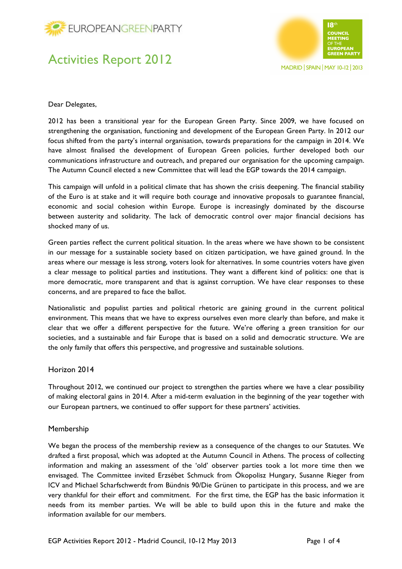



Dear Delegates,

2012 has been a transitional year for the European Green Party. Since 2009, we have focused on strengthening the organisation, functioning and development of the European Green Party. In 2012 our focus shifted from the party's internal organisation, towards preparations for the campaign in 2014. We have almost finalised the development of European Green policies, further developed both our communications infrastructure and outreach, and prepared our organisation for the upcoming campaign. The Autumn Council elected a new Committee that will lead the EGP towards the 2014 campaign.

This campaign will unfold in a political climate that has shown the crisis deepening. The financial stability of the Euro is at stake and it will require both courage and innovative proposals to guarantee financial, economic and social cohesion within Europe. Europe is increasingly dominated by the discourse between austerity and solidarity. The lack of democratic control over major financial decisions has shocked many of us.

Green parties reflect the current political situation. In the areas where we have shown to be consistent in our message for a sustainable society based on citizen participation, we have gained ground. In the areas where our message is less strong, voters look for alternatives. In some countries voters have given a clear message to political parties and institutions. They want a different kind of politics: one that is more democratic, more transparent and that is against corruption. We have clear responses to these concerns, and are prepared to face the ballot.

Nationalistic and populist parties and political rhetoric are gaining ground in the current political environment. This means that we have to express ourselves even more clearly than before, and make it clear that we offer a different perspective for the future. We're offering a green transition for our societies, and a sustainable and fair Europe that is based on a solid and democratic structure. We are the only family that offers this perspective, and progressive and sustainable solutions.

### Horizon 2014

Throughout 2012, we continued our project to strengthen the parties where we have a clear possibility of making electoral gains in 2014. After a mid-term evaluation in the beginning of the year together with our European partners, we continued to offer support for these partners' activities.

### Membership

We began the process of the membership review as a consequence of the changes to our Statutes. We drafted a first proposal, which was adopted at the Autumn Council in Athens. The process of collecting information and making an assessment of the 'old' observer parties took a lot more time then we envisaged. The Committee invited Erzsébet Schmuck from Ökopolisz Hungary, Susanne Rieger from ICV and Michael Scharfschwerdt from Bündnis 90/Die Grünen to participate in this process, and we are very thankful for their effort and commitment. For the first time, the EGP has the basic information it needs from its member parties. We will be able to build upon this in the future and make the information available for our members.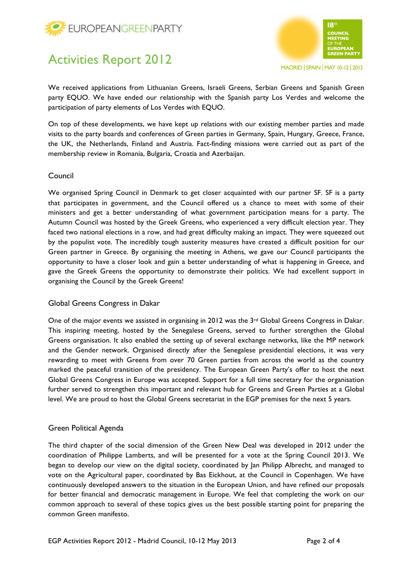



MADRID | SPAIN | MAY 10-12 | 2013

We received applications from Lithuanian Greens, Israeli Greens, Serbian Greens and Spanish Green party EQUO. We have ended our relationship with the Spanish party Los Verdes and welcome the participation of party elements of Los Verdes with EQUO.

On top of these developments, we have kept up relations with our existing member parties and made visits to the party boards and conferences of Green parties in Germany, Spain, Hungary, Greece, France, the UK, the Netherlands, Finland and Austria. Fact-finding missions were carried out as part of the membership review in Romania, Bulgaria, Croatia and Azerbaijan.

## Council

We organised Spring Council in Denmark to get closer acquainted with our partner SF. SF is a party that participates in government, and the Council offered us a chance to meet with some of their ministers and get a better understanding of what government participation means for a party. The Autumn Council was hosted by the Greek Greens, who experienced a very difficult election year. They faced two national elections in a row, and had great difficulty making an impact. They were squeezed out by the populist vote. The incredibly tough austerity measures have created a difficult position for our Green partner in Greece. By organising the meeting in Athens, we gave our Council participants the opportunity to have a closer look and gain a better understanding of what is happening in Greece, and gave the Greek Greens the opportunity to demonstrate their politics. We had excellent support in organising the Council by the Greek Greens!

## Global Greens Congress in Dakar

One of the major events we assisted in organising in 2012 was the 3<sup>rd</sup> Global Greens Congress in Dakar. This inspiring meeting, hosted by the Senegalese Greens, served to further strengthen the Global Greens organisation. It also enabled the setting up of several exchange networks, like the MP network and the Gender network. Organised directly after the Senegalese presidential elections, it was very rewarding to meet with Greens from over 70 Green parties from across the world as the country marked the peaceful transition of the presidency. The European Green Party's offer to host the next Global Greens Congress in Europe was accepted. Support for a full time secretary for the organisation further served to strengthen this important and relevant hub for Greens and Green Parties at a Global level. We are proud to host the Global Greens secretariat in the EGP premises for the next 5 years.

### Green Political Agenda

The third chapter of the social dimension of the Green New Deal was developed in 2012 under the coordination of Philippe Lamberts, and will be presented for a vote at the Spring Council 2013. We began to develop our view on the digital society, coordinated by Jan Philipp Albrecht, and managed to vote on the Agricultural paper, coordinated by Bas Eickhout, at the Council in Copenhagen. We have continuously developed answers to the situation in the European Union, and have refined our proposals for better financial and democratic management in Europe. We feel that completing the work on our common approach to several of these topics gives us the best possible starting point for preparing the common Green manifesto.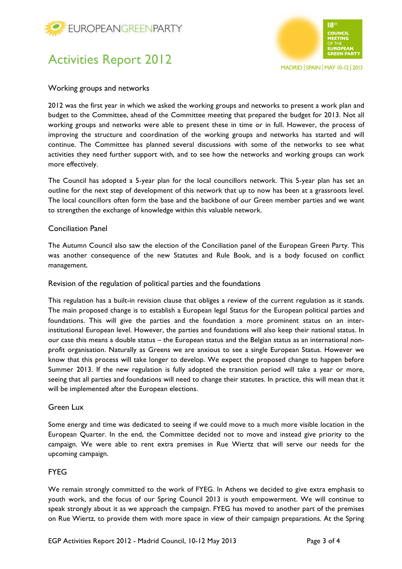



### Working groups and networks

2012 was the first year in which we asked the working groups and networks to present a work plan and budget to the Committee, ahead of the Committee meeting that prepared the budget for 2013. Not all working groups and networks were able to present these in time or in full. However, the process of improving the structure and coordination of the working groups and networks has started and will continue. The Committee has planned several discussions with some of the networks to see what activities they need further support with, and to see how the networks and working groups can work more effectively.

The Council has adopted a 5-year plan for the local councillors network. This 5-year plan has set an outline for the next step of development of this network that up to now has been at a grassroots level. The local councillors often form the base and the backbone of our Green member parties and we want to strengthen the exchange of knowledge within this valuable network.

## Conciliation Panel

The Autumn Council also saw the election of the Conciliation panel of the European Green Party. This was another consequence of the new Statutes and Rule Book, and is a body focused on conflict management.

### Revision of the regulation of political parties and the foundations

This regulation has a built-in revision clause that obliges a review of the current regulation as it stands. The main proposed change is to establish a European legal Status for the European political parties and foundations. This will give the parties and the foundation a more prominent status on an interinstitutional European level. However, the parties and foundations will also keep their national status. In our case this means a double status – the European status and the Belgian status as an international nonprofit organisation. Naturally as Greens we are anxious to see a single European Status. However we know that this process will take longer to develop. We expect the proposed change to happen before Summer 2013. If the new regulation is fully adopted the transition period will take a year or more, seeing that all parties and foundations will need to change their statutes. In practice, this will mean that it will be implemented after the European elections.

### Green Lux

Some energy and time was dedicated to seeing if we could move to a much more visible location in the European Quarter. In the end, the Committee decided not to move and instead give priority to the campaign. We were able to rent extra premises in Rue Wiertz that will serve our needs for the upcoming campaign.

## FYEG

We remain strongly committed to the work of FYEG. In Athens we decided to give extra emphasis to youth work, and the focus of our Spring Council 2013 is youth empowerment. We will continue to speak strongly about it as we approach the campaign. FYEG has moved to another part of the premises on Rue Wiertz, to provide them with more space in view of their campaign preparations. At the Spring